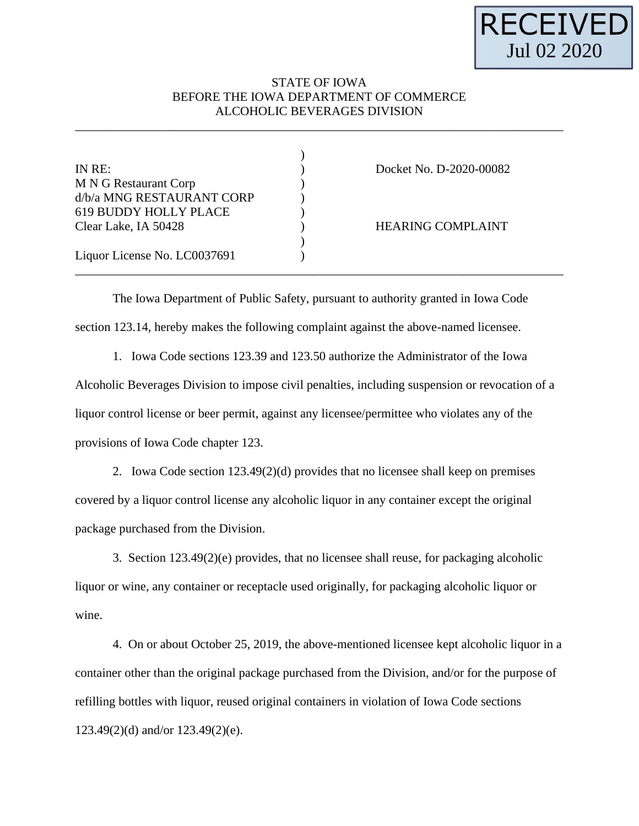

## STATE OF IOWA BEFORE THE IOWA DEPARTMENT OF COMMERCE ALCOHOLIC BEVERAGES DIVISION

\_\_\_\_\_\_\_\_\_\_\_\_\_\_\_\_\_\_\_\_\_\_\_\_\_\_\_\_\_\_\_\_\_\_\_\_\_\_\_\_\_\_\_\_\_\_\_\_\_\_\_\_\_\_\_\_\_\_\_\_\_\_\_\_\_\_\_\_\_\_\_\_\_\_\_\_\_\_

| IN RE:                       | Docket No. D-2020-00082  |
|------------------------------|--------------------------|
| M N G Restaurant Corp        |                          |
| d/b/a MNG RESTAURANT CORP    |                          |
| 619 BUDDY HOLLY PLACE        |                          |
| Clear Lake, IA 50428         | <b>HEARING COMPLAINT</b> |
|                              |                          |
| Liquor License No. LC0037691 |                          |
|                              |                          |

The Iowa Department of Public Safety, pursuant to authority granted in Iowa Code section 123.14, hereby makes the following complaint against the above-named licensee.

1. Iowa Code sections 123.39 and 123.50 authorize the Administrator of the Iowa Alcoholic Beverages Division to impose civil penalties, including suspension or revocation of a liquor control license or beer permit, against any licensee/permittee who violates any of the provisions of Iowa Code chapter 123.

2. Iowa Code section  $123.49(2)(d)$  provides that no licensee shall keep on premises covered by a liquor control license any alcoholic liquor in any container except the original package purchased from the Division.

3. Section 123.49(2)(e) provides, that no licensee shall reuse, for packaging alcoholic liquor or wine, any container or receptacle used originally, for packaging alcoholic liquor or wine.

4. On or about October 25, 2019, the above-mentioned licensee kept alcoholic liquor in a container other than the original package purchased from the Division, and/or for the purpose of refilling bottles with liquor, reused original containers in violation of Iowa Code sections 123.49(2)(d) and/or 123.49(2)(e).